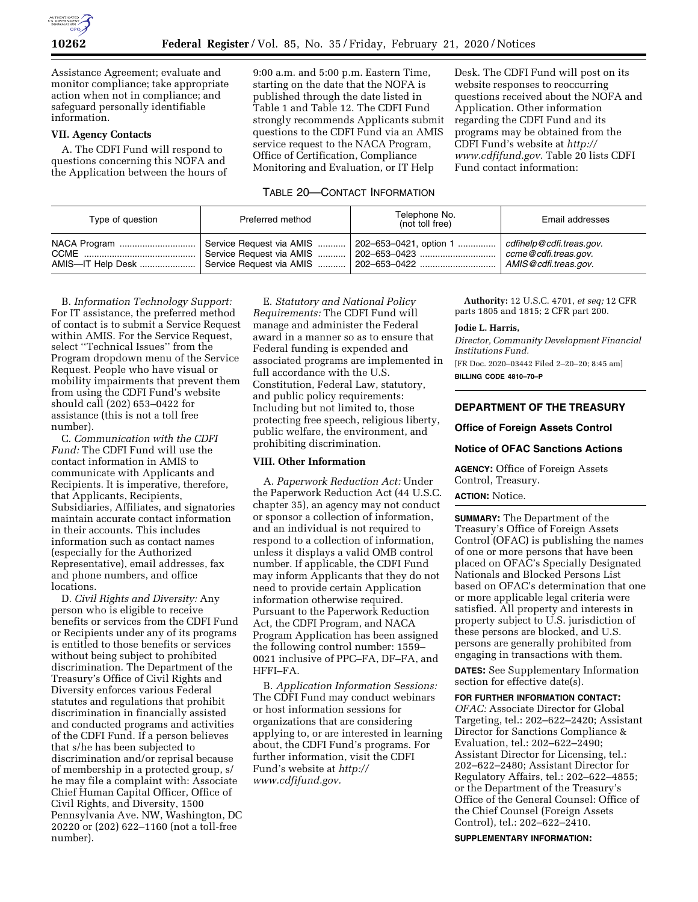

Assistance Agreement; evaluate and monitor compliance; take appropriate action when not in compliance; and safeguard personally identifiable information.

# **VII. Agency Contacts**

A. The CDFI Fund will respond to questions concerning this NOFA and the Application between the hours of 9:00 a.m. and 5:00 p.m. Eastern Time, starting on the date that the NOFA is published through the date listed in Table 1 and Table 12. The CDFI Fund strongly recommends Applicants submit questions to the CDFI Fund via an AMIS service request to the NACA Program, Office of Certification, Compliance Monitoring and Evaluation, or IT Help

Desk. The CDFI Fund will post on its website responses to reoccurring questions received about the NOFA and Application. Other information regarding the CDFI Fund and its programs may be obtained from the CDFI Fund's website at *http:// www.cdfifund.gov.* Table 20 lists CDFI Fund contact information:

# TABLE 20—CONTACT INFORMATION

| Type of question                       | Preferred method         | Telephone No.<br>(not toll free)                                                                                                                             | Email addresses      |
|----------------------------------------|--------------------------|--------------------------------------------------------------------------------------------------------------------------------------------------------------|----------------------|
| NACA Program  Service Request via AMIS | Service Request via AMIS | 202–653–0421, option 1    cdfihelp @cdfi.treas.gov.<br>  202–653–0423<br>AMIS—IT Help Desk  Service Request via AMIS    202–653–0422    AMIS@cdfi.treas.gov. | ccme@cdfi.treas.gov. |

B. *Information Technology Support:*  For IT assistance, the preferred method of contact is to submit a Service Request within AMIS. For the Service Request, select ''Technical Issues'' from the Program dropdown menu of the Service Request. People who have visual or mobility impairments that prevent them from using the CDFI Fund's website should call (202) 653–0422 for assistance (this is not a toll free number).

C. *Communication with the CDFI Fund:* The CDFI Fund will use the contact information in AMIS to communicate with Applicants and Recipients. It is imperative, therefore, that Applicants, Recipients, Subsidiaries, Affiliates, and signatories maintain accurate contact information in their accounts. This includes information such as contact names (especially for the Authorized Representative), email addresses, fax and phone numbers, and office locations.

D. *Civil Rights and Diversity:* Any person who is eligible to receive benefits or services from the CDFI Fund or Recipients under any of its programs is entitled to those benefits or services without being subject to prohibited discrimination. The Department of the Treasury's Office of Civil Rights and Diversity enforces various Federal statutes and regulations that prohibit discrimination in financially assisted and conducted programs and activities of the CDFI Fund. If a person believes that s/he has been subjected to discrimination and/or reprisal because of membership in a protected group, s/ he may file a complaint with: Associate Chief Human Capital Officer, Office of Civil Rights, and Diversity, 1500 Pennsylvania Ave. NW, Washington, DC 20220 or (202) 622–1160 (not a toll-free number).

E. *Statutory and National Policy Requirements:* The CDFI Fund will manage and administer the Federal award in a manner so as to ensure that Federal funding is expended and associated programs are implemented in full accordance with the U.S. Constitution, Federal Law, statutory, and public policy requirements: Including but not limited to, those protecting free speech, religious liberty, public welfare, the environment, and prohibiting discrimination.

# **VIII. Other Information**

A. *Paperwork Reduction Act:* Under the Paperwork Reduction Act (44 U.S.C. chapter 35), an agency may not conduct or sponsor a collection of information, and an individual is not required to respond to a collection of information, unless it displays a valid OMB control number. If applicable, the CDFI Fund may inform Applicants that they do not need to provide certain Application information otherwise required. Pursuant to the Paperwork Reduction Act, the CDFI Program, and NACA Program Application has been assigned the following control number: 1559– 0021 inclusive of PPC–FA, DF–FA, and HFFI–FA.

B. *Application Information Sessions:*  The CDFI Fund may conduct webinars or host information sessions for organizations that are considering applying to, or are interested in learning about, the CDFI Fund's programs. For further information, visit the CDFI Fund's website at *http:// www.cdfifund.gov.* 

**Authority:** 12 U.S.C. 4701, *et seq;* 12 CFR parts 1805 and 1815; 2 CFR part 200.

#### **Jodie L. Harris,**

*Director, Community Development Financial Institutions Fund.* 

[FR Doc. 2020–03442 Filed 2–20–20; 8:45 am] **BILLING CODE 4810–70–P** 

# **DEPARTMENT OF THE TREASURY**

# **Office of Foreign Assets Control**

# **Notice of OFAC Sanctions Actions**

**AGENCY:** Office of Foreign Assets Control, Treasury.

## **ACTION:** Notice.

**SUMMARY:** The Department of the Treasury's Office of Foreign Assets Control (OFAC) is publishing the names of one or more persons that have been placed on OFAC's Specially Designated Nationals and Blocked Persons List based on OFAC's determination that one or more applicable legal criteria were satisfied. All property and interests in property subject to U.S. jurisdiction of these persons are blocked, and U.S. persons are generally prohibited from engaging in transactions with them.

**DATES:** See Supplementary Information section for effective date(s).

## **FOR FURTHER INFORMATION CONTACT:**

*OFAC:* Associate Director for Global Targeting, tel.: 202–622–2420; Assistant Director for Sanctions Compliance & Evaluation, tel.: 202–622–2490; Assistant Director for Licensing, tel.: 202–622–2480; Assistant Director for Regulatory Affairs, tel.: 202–622–4855; or the Department of the Treasury's Office of the General Counsel: Office of the Chief Counsel (Foreign Assets Control), tel.: 202–622–2410.

**SUPPLEMENTARY INFORMATION:**